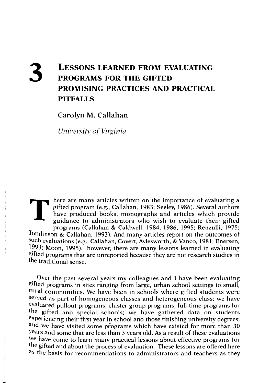# **3** LESSONS LEARNED FROM EVALUATING PROGRAMS POR THE GIPTED PROMISING PRACTICES AND PRACTICAL **PITFALLS**

Carolyn M. Callahan

*Universily of Virginia* 

T here are many articles written on the importance of evaluating a gifted program (e.g., Callahan, 1983; Seeley, 1986). Several authors have produced books, monographs and articles which provide guidance to administrators who wish to evaluate their gifted programs (Callahan & Caldwell, 1984, 1986, 1995; Renzulli, 1975; Tomlinson  $\&$  Callahan, 1993). And many articles report on the outcomes of such evaluations (e.g., Callahan, Covert, Aylesworth, & Vanco, 1981; Enersen, 1993; Moon, 1995). however, there are many lessons learned in evaluating gifted programs that are unreported because they are not research studies in the traditional sense.

Over the past several years my colleagues and I have been evaluating gifted programs in sites ranging from large, urban school settings to small, rural communities. We have been in schools where gifted students were served as part of homogeneous classes and heterogeneous class; we have evaluated pullout programs; cluster group programs, full-time programs for the gifted and special schools; we have gathered data on students experiencing their first year in school and those finishing university degrees; and we have visited some programs which have existed for more than 30 years and some that are less than 3 years old. As a result of these evaluations we have come to learn many practical lessons about effective programs for the gifted and about the process of evaluation. These lessons are offered here as the basis for recommendations to administrators and teachers as they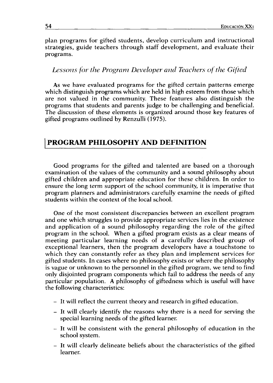plan programs for gifted students, develop curriculum and instructional strategies, guide teachers through staff development, and evaluate their programs.

### *Lessons for the Program Developer and Teachers of the Gifted*

As we have evaluated programs for the gifted certain patterns emerge which distinguish programs which are held in high esteem from those which are not valued in the community. These features also distinguish the programs that students and parents judge to be challenging and beneficial. The discussion of these elements is organized around those key features of gifted programs outlined by Renzulli (1975).

### **PROGRAM PHILOSOPHY AND DEFINITION**

Good programs for the gifted and talented are based on a thorough examination of the values of the community and a sound philosophy about gifted children and appropriate education for these children. In order to ensure the long term support of the school community, it is imperativa that program planners and administrators carefuUy examine the needs of gifted students within the context of the local school.

One of the most consistent discrepancies between an excellent program and one which struggles to provide appropriate services lies in the existence and application of a sound philosophy regarding the role of the gifted program in the school. When a gifted program exists as a clear means of meeting particular learning needs of a carefully described group of exceptional learners, then the program developers have a touchstone to which they can constantly refer as they plan and implement services for gifted students. In cases where no philosophy exists or where the philosophy is vague or unknown to the personnel in the gifted program, we tend to find only disjointed program components which fail to address the needs of any particular population. A philosophy of giftedness which is useful will have the following characteristics:

- It will reflect the current theory and research in gifted education.
- It will clearly identify the reasons why there is a need for serving the special learning needs of the gifted learner
- It will be consistent with the general philosophy of education in the school system.
- It will clearly delinéate beliefs about the characteristics of the gifted learner.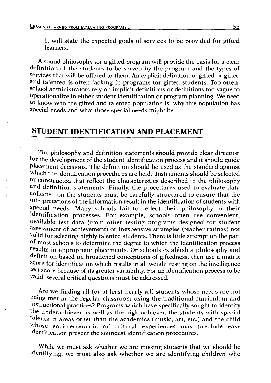- It will state the expected goals of services to be provided for gifted learners.

A sound philosophy for a gifted program will provide the basis for a clear definition of the students to be served by the program and the types of services that will be offered to them. An explicit definition of gifted or gifted and talented is often lacking in programs for gifted students. Too often, school administrators rely on implicit defínitions or definitions too vague to operationalize in either student identification or program planning. We need to know who the gifted and talented population is, why this population has special needs and what those special needs might be.

# STUDENT IDENTIFICATION AND PLACEMENT

The philosophy and definition statements should provide clear direction for the development of the student identification process and it should guide Placement decisions. The definition should be used as the standard against which the identification procedures are held. Instruments should be selected or constructed that reflect the characteristics described in the philosophy and definition statements. Finally, the procedures used to evaluate data collected on the students must be carefully structured to ensure that the interpretations of the information result in the identification of students with special needs. Many schools fail to reflect their philosophy in their identification processes. For example, schools often use convenient, available test data (from other testing programs designed for student assessment of achievement) or inexpensive strategies (teacher ratings) not valid for selecting highly talented students. There is little attempt on the part of most schools to determine the degree to which the identification process results in appropriate placements. Or schools establish a philosophy and definition based on broadened conceptions of giftedness, then use a matrix score for identification which results in all weight resting on the intelligence test score because of its greater variability. For an identification process to be valid, several critical questions must be addressed.

Are we finding all (or at least nearly all) students whose needs are not being met in the regular classroom using the traditional curriculum and instructional practices? Programs which have specifically sought to identify the underachiever as well as the high achiever, the students with special talents in areas other than the academics (music, art, etc.) and the child whose socio-economic or' cultural experiences may preclude easy identification present the soundest identification procedures.

While we must ask whether we are missing students that we should be identifying, we must also ask whether we are identifying children who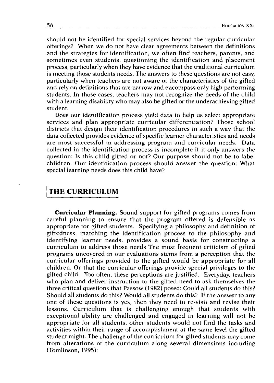should not be identified for special services beyond the regular curricular offerings? When we do not have clear agreements between the definitions and the strategies for identification, we often find teachers, parents, and sometimes even students, questioning the identification and placement process, particularly when they have evidence that the traditional curriculum is meeting those students needs. The answers to these questions are not easy, particularly when teachers are not aware of the characteristics of the gifted and rely on definitions that are narrow and encompass only high performing students. In those cases, teachers may not recognize the needs of the child with a learning disability who may also be gifted or the underachieving gifted student.

Does our identification process yield data to help us select appropriate services and plan appropriate curricular differentiation? Those school districts that design their identification procedures in such a way that the data collected provides evidence of specific learner characteristics and needs are most successful in addressing program and curricular needs. Data collected in the identification process is incomplete if it only answers the question: Is this child gifted or not? Our purpose should not be to label children. Our identification process should answer the question: What special learning needs does this child have?

# THE CURRICULUM

**Curricular Planning.** Sound support for gifted programs comes from careful planning to ensure that the program offered is defensible as appropriate for gifted students. Specifying a philosophy and definition of giftedness, matching the identification process to the philosophy and identifying learner needs, provides a sound basis for constructing a curriculum to address those needs The most frequent criticism of gifted programs uncovered in our evaluations stems from a perception that the curricular offerings provided to the gifted would be appropriate for all children. Or that the curricular offerings provide special privileges to the gifted child. Too often, these perceptions are justified. Everyday, teachers who plan and deliver instruction to the gifted need to ask themselves the three critical questions that Passow (1982) posed: Could all students do this? Should all students do this? Would all students do this? If the answer to any one of these questions is yes, then they need to re-visit and revise their lessons. Curriculum that is challenging enough that students with exceptional ability are challenged and engaged in learning will not be appropriate for all students, other students would not find the tasks and activities within their range of accomplishment at the same level the gifted student might. The challenge of the curriculum for gifted students may come from alterations of the curriculum along several dimensions including (Tomlinson, 1995):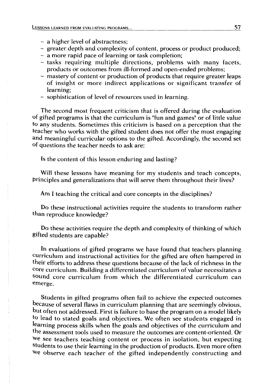- a higher level of abstractness;
- greater depth and complexity of content, process or product produced;
- a more rapid pace of learning or task completion;
- tasks requiring múltiple directions, problems with many facets, products or outcomes from ill-formed and open-ended problems;
- mastery of content or production of producís that require greater leaps of insight or more indirect applications or significant transfer of learning;
- sophistication of level of resources used in learning.

The second most frequent criticism that is offered during the evaluation of gifted programs is that the curriculum is "fun and games" or of little valué to any students. Sometimes this criticism is based on a perception that the teacher who works with the gifted student does not offer the most engaging and meaningful curricular options to the gifted. Accordingly, the second set of questions the teacher needs to ask are:

Is the content of this lesson enduring and lasting?

Will these lessons have meaning for my students and teach concepts, principles and generalizations that will serve them throughout their lives?

Am I teaching the critical and core concepts in the disciplines?

Do these instructional activities require the students to transform rather than reproduce knowledge?

Do these activities require the depth and complexity of thinking of which gifted students are capable?

In evaluations of gifted programs we have found that teachers planning curriculum and instructional activities for the gifted are often hampered in their efforts to address these questions because of the lack of richness in the core curriculum. Building a differentiated curriculum of valué necessitates a sound core curriculum from which the differentiated curriculum can emerge.

Students in gifted programs often fail to achieve the expected outcomes because of several flaws in curriculum planning that are seemingly obvious, but often not addressed. First is failure to base the program on a model likely to lead to stated goals and objectives. We often see students engaged in learning process skills when the goals and objectives of the curriculum and the assessment tools used to measure the outcomes are content-oriented. Or We see teachers teaching content or process in isolation, but expecting students to use their learning in the production of products. Even more often We observe each teacher of the gifted independently constructing and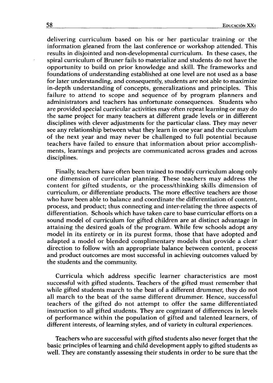delivering curriculum based on his or her particular training or the information gleaned from the last conference or workshop attended. This results in disjointed and non-developmental curriculum. In these cases, the spiral curriculum of Bruner fails to materialize and students do not have the opportunity to build on prior knowledge and skill. The frameworks and foundations of understanding established at one level are not used as a base for later understanding, and consequently, students are not able to maximize in-depth understanding of concepts, generalizations and principies. This failure to attend to scope and sequence of by program planners and administrators and teachers has unfortunate consequences. Students who are provided special curricular activities may often repeat learning or may do the same project for many teachers at different grade levéis or in different disciplines with clever adjustments for the particular class. They may never see any relationship between what they leam in one year and the curriculum of the next year and may never be challenged to full potential because teachers have failed to ensure that information about prior accomplishments, learnings and projects are communicated across grades and across disciplines.

Finally, teachers have often been trained to modify curriculum along only one dimensión of curricular planning. These teachers may address the content for gifted students, or the process/thinking skills dimension of curriculum, or differentiate products. The more effective teachers are those who have been able to balance and coordínate the differentiation of content, process, and product; thus connecting and inter-relating the three aspects of differentiation. Schools which have taken care to base curricular efforts on a sound model of curriculum for gifted children are at distinct advantage in attaining the desired goals of the program. While few schools adopt any model in its entirety or in its purest forms, those that have adopted and adapted a model or blended complimentary models that provide a clear direction to follow with an appropriate balance between content, process and product outcomes are most successful in achieving outcomes valuad by the students and the community.

Curricula which address specific learner characteristics are most successful with gifted students. Teachers of the gifted must remember that while gifted students march to the beat of a different drummer, they do not all march to the beat of the same different drummer. Henee, successful teachers of the gifted do not attempt to offer the same differentiated instruction to all gifted students. They are cognizant of differences in levels of performance within the population of gifted and talented learners, of different interests, of learning styles, and of variety in cultural experiences.

Teachers who are successful with gifted students also never forget that the basic principies of learning and child development apply to gifted students as well. They are constantly assessing their students in order to be sure that the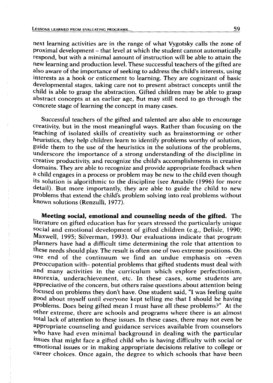next learning activities are in the range of what Vygotsky calis the zone of proximal development - that level at which the student cannot automatically respond, but with a minimal amount of instruction will be able to attain the new learning and production level. These successful teachers of the gifted are also aware of the importance of seeking to address the child's interests, using interests as a hook or enticement to learning. They are cognizant of basic developmental stages, taking care not to present abstract concepts until the child is able to grasp the abstraction. Gifted children may be able to grasp abstract concepts at an earlier age, But may still need to go through the concrete stage of learning the concept in many cases.

Successful teachers of the gifted and talented are also able to encourage creativity, but in the most meaningful ways. Rather than focusing on the teaching of isolated skills of creativity such as brainstorming or other heuristics, they help children learn to identify problems worthy of solution, guide them to the use of the heuristics in the solutions of the problems, underscore the importance of a strong understanding of the discipline in Creative productivity, and recognize the child's accomplishments in creative domains. They are able to recognize and provide appropriate feedback when a child engages in a process or problem may be new to the child even though its solution is algorithmic to the discipline (see Amabile (1996) for more detail). But more importantly, they are able to guide the child to new problems that extend the child's problem solving into real problems without known solutions (Renzulli, 1977).

**Meeting social, emotional and counselíng needs of the gifted.** The literature on gifted education has for years stressed the particularly unique social and emotional development of gifted children (e.g., Delisle, 1990; Maxwell, 1995; Silverman, 1993). Our evaluations indícate that program planners have had a difficult time determining the role that attention to these needs should play. The result is often one of two extreme positions. On one end of the continuum we find an undue emphasis on -even Preoccupation with- potential problems that gifted students must deal with and many activities in the curriculum which explore perfectionism, anorexia, underachievement, etc. In these cases, some students are appreciative of the concern, but others raise questions about attention being focused on problems they don't have. One student said, "I was feeling quite good about myself until everyone kept telling me that I should be having problems. Does being gifted mean I must have all these problems?" At the other extreme, there are schools and programs where there is an almost total lack of attention to these issues. In these cases, there may not even be appropriate counseling and guidance services available from counselors who have had even minimal background in dealing with the particular issues that might face a gifted child who is having difficulty with social or emotional issues or in making appropriate decisions relative to college or career choices. Once again, the degree to which schools that have been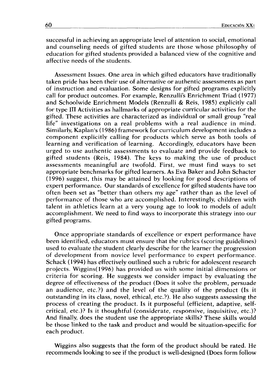successful in achieving an appropriate level of attention to social, emotional and counseling needs of gifted students are those whose philosophy of education for gifted students provided a balanced view of the cognitive and affective needs of the students.

Assessment Issues. One area in which gifted educators have traditionally taken pride has been their use of alternative or authentic assessments as part of instruction and evaluation. Some designs for gifted programs explicitly cali for product outcomes. For example, RenzuUi's Enrichment Triad (1977) and Schoolwide Enrichment Models (Renzulli & Reis, 1985) explicitly call for type III Activities as hallmarks of appropriate curricular activities for the gifted. These activities are characterized as individual or small group "real life" investigations on a real problems with a real audience in mind. Similarly, Kaplan's (1986) framework for curriculum development includes a component explicitly calling for products which serve as both tools of learning and verification of learning. Accordingly, educators have been urged to use authentic assessments to evalúate and provide feedback to gifted students (Reis, 1984). The keys to making the use of product assessments meaningful are twofold. First, we must find ways to set appropriate benchmarks for gifted learners. As Eva Baker and John Schacter (1996) suggest, this may be attained by looking for good descriptions of expert performance. Our standards of excellence for gifted students have too often been set as "better than others my age" rather than as the level of performance of those who are accomplished. Interestingly, children with talent in athletics learn at a very young age to look to models of adult accomplishment. We need to find ways to incorpórate this strategy into our gifted programs.

Once appropriate standards of excellence or expert performance have been identified, educators must ensure thát the rubrics (scoring guidelines) used to evaluate the student clearly describe for the learner the progression of development from novice level performance to expert performance. Schack (1994) has effectively outlined such a rubric for adolescent research projects. Wiggins(1996) has provided us with some initial dimensions or criteria for scoring. He suggests we consider impact by evaluating the degree of effectiveness of the product (Does it solve the problem, persuade an audience, etc.?) and the level of the quality of the product (Is it outstanding in its class, novel, ethical, etc.?). He also suggests assessing the process of creating the product. Is it purposeful (efficient, adaptive, selfcritical, etc.)? Is it thoughtful (considérate, responsive, inquisitive, etc.)? And finally, does the student use the appropriate skills? These skills would be those linked to the task and product and would be situation-specific for each product.

Wiggins also suggests that the form of the product should be rated. He recommends looking to see if the product is well-designed (Does form follow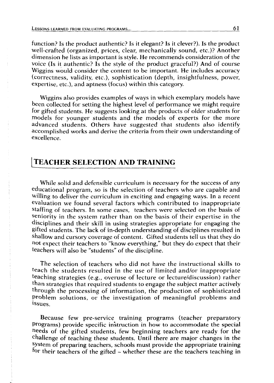function? Is the product authentic? Is it elegant? Is it clever?). Is the product well-crafted (organized, prices, clear, mechanically sound, etc.)? Another dimensión he lists as important is style. He recommends consideration of the voice (Is it authentic? Is the style of the product graceful?) And of course Wiggins would consider the content to be important. He includes accuracy (correctness, validity, etc.), sophistication (depth, insightfulness, power, expertise, etc.), and aptness (focus) within this category.

Wiggins also provides examples of ways in which exemplary modeis have been collected for setting the highest level of performance we might require for gifted students. He suggests looking at the products of older students for modeis for younger students and the modeis of experts for the more advanced students. Others have suggested that students also identify accomplished works and derive the criteria from their own understanding of excellence.

# TEACHER SELECTION AND TRAINING

While solid and defensible curriculum is necessary for the success of any educational program, so is the selection of teachers who are capable and willing to deliver the curriculum in exciting and engaging ways. In a recent evaluation we found several factors which contributed to inappropriate staffing of teachers. In some cases, teachers were selected on the basis of seniority in the system rather than on the basis of their expertise in the disciplines and their skill in using strategies appropriate for engaging the gifted students. The lack of in-depth understanding of disciplines resulted in shallow and cursory coverage of content. Gifted students tell us that they do not expect their teachers to "know everything," but they do expect that their teachers will also be "students" of the discipline.

The selection of teachers who did not have the instructional skills to teach the students resulted in the use of limited and/or inappropriate teaching strategies (e.g., overuse of lecture or lecture/discussion) rather than strategies that required students to engage the subject matter actively through the processing of information, the production of sophisticated Probiem solutions, or the investigation of meaningful problems and issues.

Because few pre-service training programs (teacher preparatory programs) provide specific instruction in how to accommodate the special needs of the gifted students, few beginning teachers are ready for the challenge of teaching these students. Until there are major changes in the system of preparing teachers, schools must provide the appropriate training 'or their teachers of the gifted - whether these are the teachers teaching in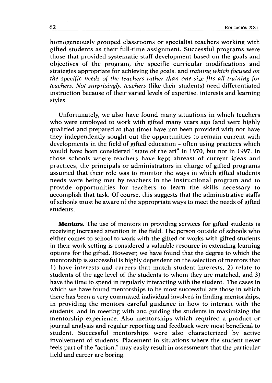homogeneously grouped classrooms or specialist teachers working with gifted students as their full-time assignment. Successful programs were those that provided systematic staff development based on the goals and objectives of the program, the specific curricular modifications and strategies appropriate for achieving the goals, and *training which focused on the specific needs of the teachers rather than one-size fits all training for teachers. Not surprisingly, teachers* (like their students) need differentiated instruction because of their varied levels of expertise, interests and learning styles.

Unfortunately, we also have found many situations in which teachers who were employed to work with gifted many years ago (and were highly qualified and prepared at that time) have not been provided with nor have they independently sought out the opportunities to remain current with developments in the field of gifted education - often using practices which would have been considered "state of the art" in 1970, but not in 1997. In those schools where teachers have kept abreast of current ideas and practices, the principáis or administrators in charge of gifted programs assumed that their role was to monitor the ways in which gifted students needs were being met by teachers in the instructional program and to provide opportunities for teachers to learn the skills necessary to accomplish that task. Of course, this suggests that the administrative staffs of schools must be aware of the appropriate ways to meet the needs of gifted students.

**Mentors.** The use of mentors in providing services for gifted students is receiving increased attention in the fíeld. The person outside of schools who either comes to school to work with the gifted or works with gifted students in their work setting is considered a valuable resource in extending learning options for the gifted. However, we have found that the degree to which the mentorship is successful is highly dependent on the selection of mentors that 1) have interests and careers that match student interests, 2) relate to students of the age level of the students to whom they are matched, and 3) have the time to spend in regularly interacting with the student. The cases in which we have found mentorships to be most successful are those in which there has been a very committed individual involved in fínding mentorships, in providing the mentors careful guidance in how to interact with the students, and in meeting with and guiding the students in maximizing the mentorship experience. Also mentorships which required a product or journal analysis and regular reporting and feedback were most beneficial to student. Successful mentorships were also characterized by active involvement of students. Placement in situations where the student never feels part of the "action," may easily result in assessments that the particular fíeld and career are boring.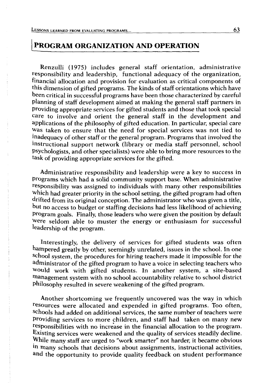### PROGRAM ORGANIZATION AND OPERATION

Renzulli (1975) includes general staff orientation, administrative responsibility and leadership, functional adequacy of the organization, financial allocation and provisión for evaluation as critical components of this dimensión of gifted programs. The kinds of staff orientations which have been critical in successful programs have been those characterized by careful planning of staff development aimed at making the general staff partners in providing appropriate services for gifted students and those that took special care to involve and orient the general staff in the development and applications of the philosophy of gifted education. In particular, special care was taken to ensure that the need for special services was not tied to inadequacy of other staff or the general program. Programs that involved the instructional support network (library or media staff personnel, school Psychologists, and other specialists) were able to bring more resources to the task of providing appropriate services for the gifted.

Administrative responsibility and leadership were a key to success in programs which had a solid community support base. When administrative responsibility was assigned to individuals with many other responsibilities which had greater priority in the school setting, the gifted program had often drifted from its original conception. The administrator who was given a title, but no access to budget or staffing decisions had less likelihood of achieving program goals. Finally, those leaders who were given the position by default Were seldom able to muster the energy or enthusiasm for successful leadership of the program.

Interestingly, the delivery of services for gifted students was often hampered greatly by other, seemingly unrelated, issues in the school. In one school system, the procedures for hiring teachers made it impossible for the administrator of the gifted program to have a voice in selecting teachers who would work with gifted students. In another system, a site-based Management system with no school accountability relative to school district philosophy resulted in severe weakening of the gifted program.

Another shortcoming we frequently uncovered was the way in which resources were allocated and expended in gifted programs. Too often, schools had added on additional services, the same number of teachers were providing services to more children, and staff had taken on many new responsibilities with no increase in the financial allocation to the program. Existing services were weakened and the quality of services steadily decline. While many staff are urged to "work smarter" not harder, it became obvious in many schools that decisions about assignments, instructional activities, and the opportunity to provide quality feedback on student performance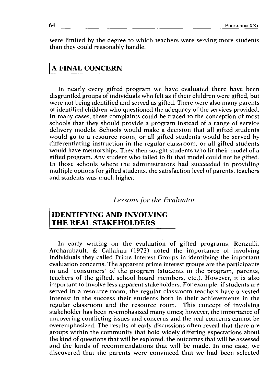were limited by the degree to which teachers were serving more students than they could reasonably handle.

# **A FINA L CONCER N**

In nearly every gifted program we have evaluated there have been disgruntled groups of individuals who felt as if their children were gifted, but were not being identified and served as gifted. There were also many parents of identified children who questioned the adequacy of the services provided. In many cases, these complaints could be traced to the conception of most schools that they should provide a program instead of a range of service delivery models. Schools would make a decisión that all gifted students would go to a resource room, or all gifted students would be served by differentiating instruction in the regular classroom, or all gifted students would have mentorships. They then sought students who fit their model of a gifted program. Any student who failed to fit that model could not be gifted. In those schools where the administrators had succeeded in providing multiple options for gifted students, the satisfaction level of parents, teachers and students was much higher.

*Lessons for the Evaluator* 

### IDENTIFYING AND INVOLVING THE REAL STAKEHOLDERS

In early writing on the evaluation of gifted programs, Renzulli, Archambault, & Callaban (1973) noted the importance of involving individuáis they called Prime Interest Groups in identifying the important evaluation concerns. The apparent prime interest groups are the participants in and "consumers" of the program (students in the program, parents, teachers of the gifted, school board members, etc.). However, it is also important to involve less apparent stakeholders. For example, if students are served in a resource room, the regular classroom teachers have a vested interest in the success their students both in their achievements in the regular classroom and the resource room. This concept of involving stakeholder has been re-emphasized many times; however, the importance of uncovering conflicting issues and concerns and the real concerns cannot be overemphasized. The results of early discussions often reveal that there are groups within the community that hold widely differing expectations about the kind of questions that will be explored, the outcomes that will be assessed and the kinds of recommendations that will be made. In one case, we discovered that the parents were convinced that we had been selected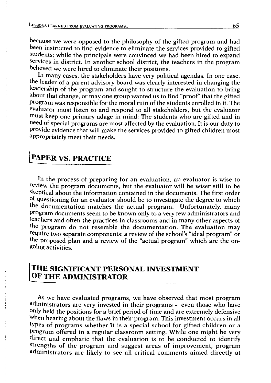because we were opposed to the philosophy of the gifted program and had been instructed to fínd evidence to eliminate the services provided to gifted students; while the principals were convinced we had been hired to expand services in district. In another school district, the teachers in the program believed we were hired to eliminate their positions.

In many cases, the stakeholders have very political agendas. In one case, the leader of a parent advisory board was clearly interested in changing the leadership of the program and sought to structure the evaluation to bring about that change, or may one group wanted us to find "proof" that the gifted program was responsible for the moral ruin of the students enrolled in it. The evaluator must listen to and respond to all stakeholders, but the evaluator must keep one primary adage in mind: The students who are gifted and in need of special programs are most affected by the evaluation. It is our duty to provide evidence that will make the services provided to gifted children most appropriately meet their needs.

# PAPER VS. PRACTICE

In the process of preparing for an evaluation, an evaluator is wise to review the program documents, but the evaluator will be wiser still to be skeptical about the information contained in the documents. The first order of questioning for an evaluator should be to investígate the degree to which the documentation matches the actual program. Unfortunately, many program documents seem to be known only to a very few administrators and teachers and often the practices in classrooms and in many other aspects of the program do not resemble the documentation. The evaluation may require two separate components: a review of the school's "ideal program" or the proposed plan and a review of the "actual program" which are the ongoing activities.

# THE SIGNIFICANT PERSONAL INVESTMENT OF THE ADMINISTRATOR

As we have evaluated programs, we have observed that most program administrators are very invested in their programs - even those who have only held the positions for a brief period of time and are extremely defensive when hearing about the flaws in their program. This investment occurs in all types of programs whether It is a special school for gifted children or a program offered in a regular classroom setting. While one might be very direct and emphatic that the evaluation is to be conducted to identify strengths of the program and suggest areas of improvement, program administrators are likely to see all critical comments aimed directly at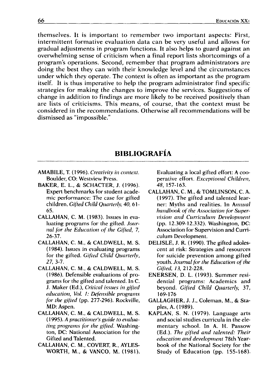themselves. It is important to remember two important aspects: First, intermittent formative evaluation data can be very useful and allows for gradual adjustments in program functions. It also helps to guard against an overwhelming sense of criticism when a final report lists shortcomings of a program's operations. Second, remember that program administrators are doing the best they can with their knowledge level and the circumstances under which they operate. The context is often as important as the program itself. It is thus imperative to help the program administrator find specific strategies for making the changes to improve the services. Suggestions of change in addition to findings are more likely to be received positively than are iists of criticisms. This means, of course, that the context must be considered in the recommendations. Otherwise all recommendations will be dismissed as "impossible."

# BIBLIOGRAFÍA

- AMABILE, T. (1996). *Creativily in context.*  Boulder, CO: Westview Press.
- BAKER, E. L., & SCHACTER, J. (1996). Expert benchmarks for student academic performance: The case for gifted children. *Gifted Child Quarterly, 40, b\-* 65.
- CALLAHAN, C. M. (1983). Issues in evaluating programs for the gifted. *Journal for the Education of the Gifted, 7,*  26-37.
- CALLAHAN, C. M., & CALDWELL, M. S. (1984). Issues in evaluating programs for the gifted. *Gifted Child Quarterlv, 27,* 3-7.
- CALLAHAN, C. M., & CALDWELL, M. S. (1986). Defensible evaluations of programs for the gifted and talented. In C. J. Maker (Ed.), *Critical issues in gifted education, Vol. I: Defensible programs for the gifted* (pp. 277-296). Rockville, MD: Aspen.
- CALLAHAN, C. M., & CALDWELL, M. S. (1995). *A praclilioner's guide to evaluating programs for the gifted.* Washington, DC: National Association for the Gifted and Talented.
- CALLAHAN, C. M., COVERT, R., AYLES-WORTH, M., & VANCO, M. (1981).

Evaluating a local gifted effort: A cooperative effort. *Exceptional Children, 48,* 157-163.

- CALLAHAN, C. M., & TOMLINSON, C. A. (1997). The gifted and talented learner: Myths and realities. In *knnual handbook of the Association for Supervisión and Curriculum Development*  (pp. 12.309-12.332). Washington, DC: Association for Supervisión and Curriculum Development.
- DELISLE, J. R. (1990). The gifted adolescent at risk: Strategies and resources for suicide prevention among gifted youth. Journal for the Education of the *Gifted, 13,* 212-228.
- ENERSEN, D. L. (1993). Summer residential programs: Academics and beyond. *Gifted Child Quarterly,* 37, 169-176
- GALLAGHER, J. J., Coleman, M., & Staples, A. (1989).
- KAPLAN, S. N. (1979). Language arts and social studies curricula in the elementary school. In A. H. Passow (Ed.). *The gifted and talented: Their education and development* 78th Yearbook of the National Society for the Study of Education (pp. 155-168).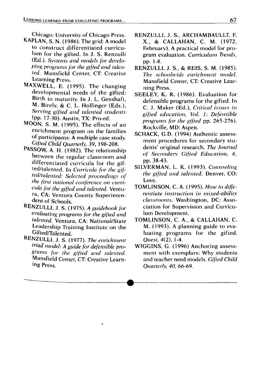Chicago: Universily of Chicago Press.

- KAPLAN, S. N. (1986). The grid: A model to construct differentiated curriculum for the gifted. In J. S. Renzulli (Ed.). *Syslenis and inodels for developiug prograius for the gifted and taleu*ted. Mansfield Center, CT: Creative Learning Press.
- MAXWELL, E. (1995). The changing developmental needs of the gifted: Birth to maturity. In J. L. Genshaft, M. Birely, & C. L. Hollinger (Eds.), *Serving gifted and talented students*  (pp. 17-30). Austin, TX: Pro-ed.
- MOON, S. M. (1995). The effects of an enrichment program on the families of participants:  $\bar{A}$  multiple case study. *Gifted Child Quarterh, 39,* 198-208.
- PASSOW, A. H. (1982). The relationship between the regular classroom and differentialed curricula for the gifted/talented. In *Curricula for ihe gif ted/talented: Selected proceedings of the first national conference on curricula for the gifted and talented.* Ventura, CA: Ventura County Superintendent of Schools.
- RENZULLI, J. S. (1975). *A guidehook for evaluaíing programs for the gifted and talented.* Ventura, CA: National/State Leadership Training Institute on the Gifted/Talented.
- RENZULLl, J. S. (1977). *The enrichment triad niodel: A guide for defensihle programs for the gifted and talented.*  Mansfield Center, CT: Creative Learning Press.
- RENZULLI, J. S., ARCHAMBAULLT, F. X., & CALLAHAN, C. M. (1972, February). A practical model for program evaluation. *Curriculum Trends,*  pp. 1-8.
- RENZULLI, J. S., & REÍS, S. M. (1985). *The schoolwide enrichment model.*  Mansfield Center, CT: Creative Learning Press.
- SEELEY, K. R. (1986). Evaluation for defensible programs for the gifted. In C. J. Maker (Ed.), *Critical i.ssues in gifted education, Vol. I: Defensihle programs for the gifted* pp. 265-276). Rockville, MD: Aspen.
- SCHACK, G.D. (1994) Authentic assessment procedures for secondary students' original research. *The Journal of Secondary Gifted Education, 6,*  pp. 38-43.
- SILVERMAN, L. K. (1993). *Counseling the gifted and talented.* Denver, CO: Love.
- TOMLINSON, C. A. (1995). *How to differentiate instruction in mixed-abiliiy classrooms.* Washington, DC: Association for Supervision and Curriculum Development.
- TOMLINSON. C. A., & CALLAHAN, C. M. (1993). A planning guide to evaluating programs for the gifted. *Quest,* 4(2), 1-4.
- WIGGINS, G. (1996) Anchoring assessment with exemplars: Why students and teacher need models. *Gifted Child Quarterh, 40,* 66-69.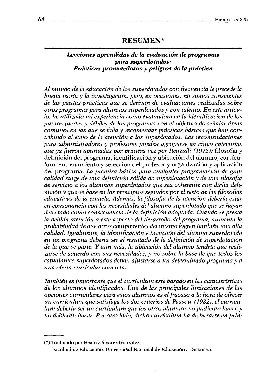### **RESUMEN \***

### *Lecciones aprendidas de la evaluación de programas para superdotados: Prácticas prontetedoras y peligros de la práctica*

*Al mundo de la educación de los superdotados con frecuencia le precede la buena teoría y la investigación, pero, en ocasiones, no somos conscientes de las pautas prácticas que se derivan de evaluaciones realizadas sobre otros programas para alumnos superdotados y con talento. En este artículo, he utilizado mi experiencia como evaluadora en la identificación de los puntos fuertes y débiles de los programas con el objetivo de señalar áreas comunes en las que se falla y recomendar prácticas básicas que han contribuido al éxito de la atención a los superdotados. Las recomendaciones para administradores y profesores pueden agruparse en cinco categorías que ya fueron apuntadas por primera vez por Renzulli (1975):* filosofía y definición del programa, identificación y ubicación del alumno, curriculum, entrenamiento y selección del profesor y organización y aplicación del programa. *La premisa básica para cualquier programación de gran calidad surge de una definición sólida de superdotación y de una filosofía de servicio a los alumnos superdotados que sea coherente con dicha definición y que se base en los principios seguidos por el resto de las filosofías educativas de la escuela. Además, la filosofía de la atención debería estar en consonancia con las necesidades del alumno superdotado que se hayan detectado como consecuencia de la definición adoptada. Cuando se presta la debida atención a este aspecto del desarrollo del programa, aumenta la probabilidad de que otros componentes del mismo logren también una alta calidad. Igualmente, la identificación e inclusión del alumno superdotado en un programa debería ser el resultado de la definición de superdotación de la que se parte. Y aún más, la ubicación del alumno tendría que realizarse de acuerdo con sus necesidades, y no sobre la base de que todos los estudiantes superdotados deban ajustarse a un determinado programa y a una oferta curricular concreta.* 

*También es importante que el curriculum esté basado en las características de los alumnos identificados. Una de las principales limitaciones de las opciones curriculares para estos alumnos es el fracaso a la hora de ofrecer un curriculum que satisfaga los dos criterios de Passow (1982), el curriculum debería ser un curriculum que los otros alumnos no pudieran hacer, y no debieran hacer. Por otro lado, dicho curriculum ha de basarse en prin-*

<sup>(\*)</sup> Traducido *por* Beatriz Álvarez González.

Facultad de Educación. Universidad Nacional de Educación a Distancia.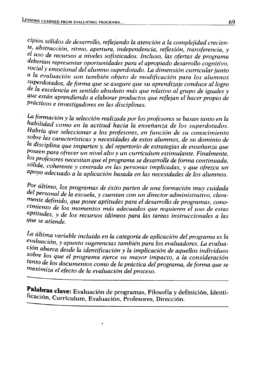*cipios sólidos de desarrollo, reflejando la atención a la complejidad creciente, abstracción, ritmo, apertura, independencia, reflexión, transferencia, y el uso de recursos a niveles sofisticados. Incluso, las ofertas de programa deberían representar oportunidades para el apropiado desarrollo cognitivo, social y emocional del alumno superdotado. La dimensión curricular junto a La evaluación son también objeto de modificación para los alumnos ^uperdotados, de forma que se asegure que su aprendizaje conduce al logro ue la excelencia en sentido absoluto más que relativo al grupo de iguales y Rue están aprendiendo a elaborar productos que reflejan el hacer propio de prácticos e investigadores en las disciplinas.* 

La formación y la selección realizada por los profesores se basan tanto en la *labilidad como en la actitud hacia la enseñanza de los superdotados. nabna que seleccionar a los profesores, en función de su conocimiento ^j Jf ^^ características y necesidades de estos alumnos, de su dominio de*  a *disciplina que imparten y, del repertorio de estrategias de enseñanza que poseen para ofrecer un nivel alto y un curriculum estimulante. Finalmente,*  los profesores necesitan que el programa se desarrolle de forma continuada, *solida, coherente y centrada en las personas implicadas, y que ofrezca un apoyo adecuado a la aplicación basada en las necesidades de los alumnos.* 

Por último, los programas de éxito parten de una formación muy cuidada del personal de la escuela, y cuentan con un director administrativo, clara*mente definido, que posee aptitudes para el desarrollo de programas, conowtiento de los momentos más adecuados que requieren el uso de estas aptitudes, y de los recursos idóneos para las tareas instruccionales a las 9ue se atiende.* 

La última variable incluida en la categoría de aplicación del programa es la *evaluación, y apunto sugerencias también para los evaluadores. La evalua* $c$ ión abarca desde la identificación y la implicación de aquellos individuos *o re los que el programa ejerce su mayor impacto, a la consideración anto de los documentos como de la práctica del programa, de forma que se maximiza el efecto de la evaluación del proceso.* 

**alabras clave:** Evaluación de programas, Filosofía y definición, Identificación, Currículum, Evaluación, Profesores, Dirección.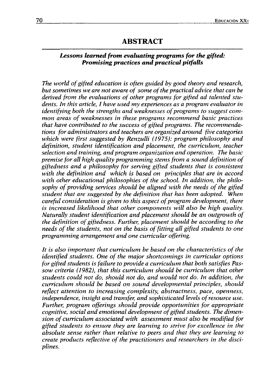### ABSTRACT

#### Lessons learned from evaluating programs for the gifted: *Promising practices and practical pitfaUs*

*The world of gifted education is often guided by good theory and research, but sometimes we are not aware of some of the practical advice that can be derived from the evaluations of other programs for gifted ad talented students. In this article, I have used my experiences as a program evaluator in identifying both the strengths and weaknesses of programs to suggest common áreas of weaknesses in these programs recommend basic practices that have contributed to the success of gifted programs. The recommendations for administrators and teachers are organized around five categories which were first suggested by Renzulli (1975): program philosophy and deftnition, student identification and placement, the curriculum, teacher selection and training, and program organization and operation. The basic premise for all high quality programming stems from a sound definition of giftedness and a philosophy for serving gifted students that is consistent with the definition and which is based on principies that are in accord with other educational philosophies of the school. In addition, the philo*sophy of providing services should be aligned with the needs of the gifted *student that are suggested by the definition that has been adopted. When careful consideration is given to this aspect of program development, there is increased likelihood that other components will also be high quality. Naturally student identification and placement should be an outgrowth of the definition of giftedness. Further, placement should be according to the*  needs of the students, not on the basis of fitting all gifted students to one *programming arrangement and one curricular offering.* 

*It is also important that curriculum be based on the characteristics of the identifted students. One of the major shortcomings in curricular options for gifted students is failure to provide a curriculum that both satisfies Passow criteria (1982), that this curriculum should be curriculum that other students could not do, should not do, and would not do. In addition, the curriculum should be based on sound developmental principies, should reflect attention to increasing complexity, abstractness, pace, openness, independence, insight and transfer, and sophisticated levels of resource use. Further, program offerings should provide opportunities for appropriate cognitive, social and emotional development of gifted students. The dimensión of curriculum associated with assessment must also be modified for gifted students to ensure they are leaming to strive for excellence in the absolute sense rather than relative to peers and that they are leaming to créate products reflective of the practitioners and researchers in the disciplines.*